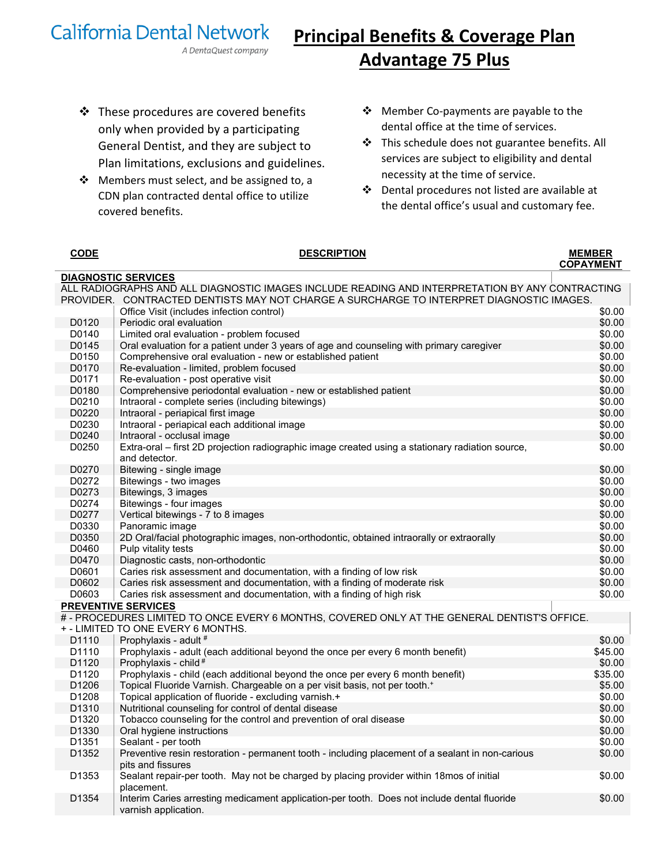## **California Dental Network**

## **Principal Benefits & Coverage Plan Advantage 75 Plus**

 $\cdot$  These procedures are covered benefits only when provided by a participating General Dentist, and they are subject to Plan limitations, exclusions and guidelines.

A DentaQuest company

- \* Members must select, and be assigned to, a CDN plan contracted dental office to utilize covered benefits.
- Member Co-payments are payable to the dental office at the time of services.
- This schedule does not guarantee benefits. All services are subject to eligibility and dental necessity at the time of service.
- Dental procedures not listed are available at the dental office's usual and customary fee.

| <b>CODE</b>       | <b>DESCRIPTION</b>                                                                                                                                                                          | <b>MEMBER</b>    |
|-------------------|---------------------------------------------------------------------------------------------------------------------------------------------------------------------------------------------|------------------|
|                   |                                                                                                                                                                                             | <b>COPAYMENT</b> |
|                   | <b>DIAGNOSTIC SERVICES</b>                                                                                                                                                                  |                  |
|                   | ALL RADIOGRAPHS AND ALL DIAGNOSTIC IMAGES INCLUDE READING AND INTERPRETATION BY ANY CONTRACTING<br>PROVIDER. CONTRACTED DENTISTS MAY NOT CHARGE A SURCHARGE TO INTERPRET DIAGNOSTIC IMAGES. |                  |
|                   | Office Visit (includes infection control)                                                                                                                                                   | \$0.00           |
| D0120             | Periodic oral evaluation                                                                                                                                                                    | \$0.00           |
| D0140             | Limited oral evaluation - problem focused                                                                                                                                                   | \$0.00           |
| D0145             | Oral evaluation for a patient under 3 years of age and counseling with primary caregiver                                                                                                    | \$0.00           |
| D0150             | Comprehensive oral evaluation - new or established patient                                                                                                                                  | \$0.00           |
| D0170             | Re-evaluation - limited, problem focused                                                                                                                                                    | \$0.00           |
| D0171             | Re-evaluation - post operative visit                                                                                                                                                        | \$0.00           |
| D0180             | Comprehensive periodontal evaluation - new or established patient                                                                                                                           | \$0.00           |
| D0210             | Intraoral - complete series (including bitewings)                                                                                                                                           | \$0.00           |
| D0220             | Intraoral - periapical first image                                                                                                                                                          | \$0.00           |
| D0230             | Intraoral - periapical each additional image                                                                                                                                                | \$0.00           |
| D0240             | Intraoral - occlusal image                                                                                                                                                                  | \$0.00           |
| D0250             | Extra-oral – first 2D projection radiographic image created using a stationary radiation source,                                                                                            | \$0.00           |
|                   | and detector.                                                                                                                                                                               |                  |
| D0270             | Bitewing - single image                                                                                                                                                                     | \$0.00           |
| D0272             | Bitewings - two images                                                                                                                                                                      | \$0.00           |
| D0273             | Bitewings, 3 images                                                                                                                                                                         | \$0.00           |
| D0274             | Bitewings - four images                                                                                                                                                                     | \$0.00           |
| D0277             | Vertical bitewings - 7 to 8 images                                                                                                                                                          | \$0.00           |
| D0330             | Panoramic image                                                                                                                                                                             | \$0.00           |
| D0350             | 2D Oral/facial photographic images, non-orthodontic, obtained intraorally or extraorally                                                                                                    | \$0.00           |
| D0460             | Pulp vitality tests                                                                                                                                                                         | \$0.00           |
| D0470             | Diagnostic casts, non-orthodontic                                                                                                                                                           | \$0.00           |
| D0601             | Caries risk assessment and documentation, with a finding of low risk                                                                                                                        | \$0.00           |
| D0602             | Caries risk assessment and documentation, with a finding of moderate risk                                                                                                                   | \$0.00           |
| D0603             | Caries risk assessment and documentation, with a finding of high risk                                                                                                                       | \$0.00           |
|                   | <b>PREVENTIVE SERVICES</b>                                                                                                                                                                  |                  |
|                   | # - PROCEDURES LIMITED TO ONCE EVERY 6 MONTHS, COVERED ONLY AT THE GENERAL DENTIST'S OFFICE.<br>+ - LIMITED TO ONE EVERY 6 MONTHS.                                                          |                  |
| D <sub>1110</sub> | Prophylaxis - adult #                                                                                                                                                                       | \$0.00           |
| D1110             | Prophylaxis - adult (each additional beyond the once per every 6 month benefit)                                                                                                             | \$45.00          |
| D1120             | Prophylaxis - child <sup>#</sup>                                                                                                                                                            | \$0.00           |
| D <sub>1120</sub> | Prophylaxis - child (each additional beyond the once per every 6 month benefit)                                                                                                             | \$35.00          |
| D1206             | Topical Fluoride Varnish. Chargeable on a per visit basis, not per tooth. <sup>+</sup>                                                                                                      | \$5.00           |
| D1208             | Topical application of fluoride - excluding varnish.+                                                                                                                                       | \$0.00           |
| D <sub>1310</sub> | Nutritional counseling for control of dental disease                                                                                                                                        | \$0.00           |
| D <sub>1320</sub> | Tobacco counseling for the control and prevention of oral disease                                                                                                                           | \$0.00           |
| D <sub>1330</sub> | Oral hygiene instructions                                                                                                                                                                   | \$0.00           |
| D <sub>1351</sub> | Sealant - per tooth                                                                                                                                                                         | \$0.00           |
| D <sub>1352</sub> | Preventive resin restoration - permanent tooth - including placement of a sealant in non-carious                                                                                            | \$0.00           |
|                   | pits and fissures                                                                                                                                                                           |                  |
| D1353             | Sealant repair-per tooth. May not be charged by placing provider within 18mos of initial                                                                                                    | \$0.00           |
|                   | placement.                                                                                                                                                                                  |                  |
| D <sub>1354</sub> | Interim Caries arresting medicament application-per tooth. Does not include dental fluoride<br>varnish application.                                                                         | \$0.00           |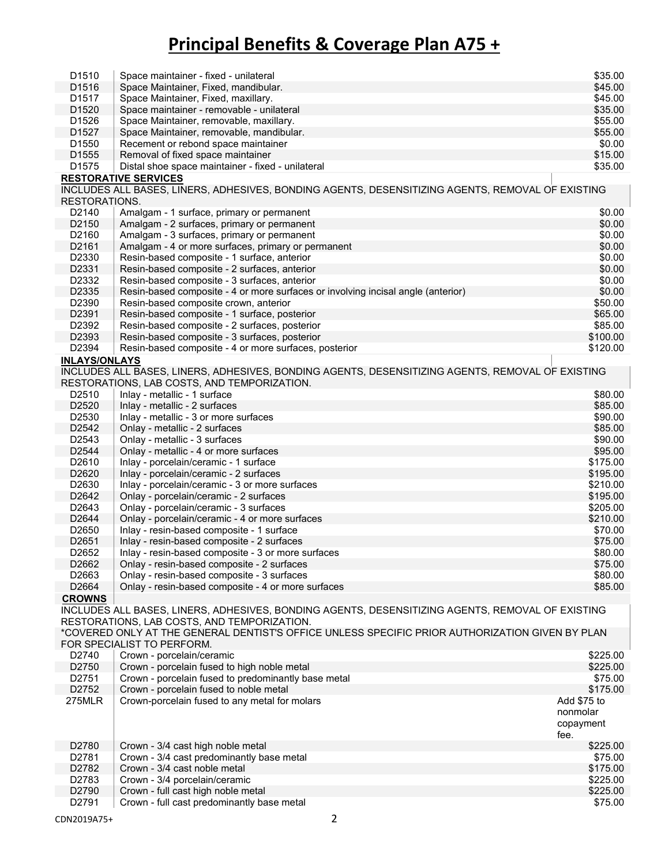| D <sub>1510</sub>    | Space maintainer - fixed - unilateral                                                            | \$35.00     |
|----------------------|--------------------------------------------------------------------------------------------------|-------------|
| D <sub>1516</sub>    | Space Maintainer, Fixed, mandibular.                                                             | \$45.00     |
| D1517                | Space Maintainer, Fixed, maxillary.                                                              | \$45.00     |
|                      |                                                                                                  |             |
| D1520                | Space maintainer - removable - unilateral                                                        | \$35.00     |
| D1526                | Space Maintainer, removable, maxillary.                                                          | \$55.00     |
| D1527                | Space Maintainer, removable, mandibular.                                                         | \$55.00     |
| D1550                | Recement or rebond space maintainer                                                              | \$0.00      |
| D1555                | Removal of fixed space maintainer                                                                | \$15.00     |
| D1575                | Distal shoe space maintainer - fixed - unilateral                                                | \$35.00     |
|                      |                                                                                                  |             |
|                      | <b>RESTORATIVE SERVICES</b>                                                                      |             |
|                      | INCLUDES ALL BASES, LINERS, ADHESIVES, BONDING AGENTS, DESENSITIZING AGENTS, REMOVAL OF EXISTING |             |
| RESTORATIONS.        |                                                                                                  |             |
| D2140                | Amalgam - 1 surface, primary or permanent                                                        | \$0.00      |
| D2150                | Amalgam - 2 surfaces, primary or permanent                                                       | \$0.00      |
| D2160                | Amalgam - 3 surfaces, primary or permanent                                                       | \$0.00      |
|                      |                                                                                                  | \$0.00      |
| D2161                | Amalgam - 4 or more surfaces, primary or permanent                                               |             |
| D2330                | Resin-based composite - 1 surface, anterior                                                      | \$0.00      |
| D2331                | Resin-based composite - 2 surfaces, anterior                                                     | \$0.00      |
| D2332                | Resin-based composite - 3 surfaces, anterior                                                     | \$0.00      |
| D2335                | Resin-based composite - 4 or more surfaces or involving incisal angle (anterior)                 | \$0.00      |
| D2390                | Resin-based composite crown, anterior                                                            | \$50.00     |
| D2391                | Resin-based composite - 1 surface, posterior                                                     | \$65.00     |
|                      |                                                                                                  |             |
| D2392                | Resin-based composite - 2 surfaces, posterior                                                    | \$85.00     |
| D2393                | Resin-based composite - 3 surfaces, posterior                                                    | \$100.00    |
| D2394                | Resin-based composite - 4 or more surfaces, posterior                                            | \$120.00    |
| <b>INLAYS/ONLAYS</b> |                                                                                                  |             |
|                      | INCLUDES ALL BASES, LINERS, ADHESIVES, BONDING AGENTS, DESENSITIZING AGENTS, REMOVAL OF EXISTING |             |
|                      | RESTORATIONS, LAB COSTS, AND TEMPORIZATION.                                                      |             |
|                      |                                                                                                  |             |
| D2510                | Inlay - metallic - 1 surface                                                                     | \$80.00     |
| D2520                | Inlay - metallic - 2 surfaces                                                                    | \$85.00     |
| D2530                | Inlay - metallic - 3 or more surfaces                                                            | \$90.00     |
| D2542                | Onlay - metallic - 2 surfaces                                                                    | \$85.00     |
| D2543                | Onlay - metallic - 3 surfaces                                                                    | \$90.00     |
| D2544                | Onlay - metallic - 4 or more surfaces                                                            | \$95.00     |
|                      |                                                                                                  |             |
| D2610                | Inlay - porcelain/ceramic - 1 surface                                                            | \$175.00    |
| D2620                | Inlay - porcelain/ceramic - 2 surfaces                                                           | \$195.00    |
| D2630                | Inlay - porcelain/ceramic - 3 or more surfaces                                                   | \$210.00    |
| D2642                | Onlay - porcelain/ceramic - 2 surfaces                                                           | \$195.00    |
| D2643                | Onlay - porcelain/ceramic - 3 surfaces                                                           | \$205.00    |
| D2644                | Onlay - porcelain/ceramic - 4 or more surfaces                                                   | \$210.00    |
| D2650                |                                                                                                  | \$70.00     |
|                      | Inlay - resin-based composite - 1 surface                                                        |             |
| D2651                | Inlay - resin-based composite - 2 surfaces                                                       | \$75.00     |
| D <sub>2652</sub>    | Inlay - resin-based composite - 3 or more surfaces                                               | \$80.00     |
| D2662                | Onlay - resin-based composite - 2 surfaces                                                       | \$75.00     |
| D2663                | Onlay - resin-based composite - 3 surfaces                                                       | \$80.00     |
| D2664                | Onlay - resin-based composite - 4 or more surfaces                                               | \$85.00     |
| <b>CROWNS</b>        |                                                                                                  |             |
|                      |                                                                                                  |             |
|                      | INCLUDES ALL BASES, LINERS, ADHESIVES, BONDING AGENTS, DESENSITIZING AGENTS, REMOVAL OF EXISTING |             |
|                      | RESTORATIONS, LAB COSTS, AND TEMPORIZATION.                                                      |             |
|                      | *COVERED ONLY AT THE GENERAL DENTIST'S OFFICE UNLESS SPECIFIC PRIOR AUTHORIZATION GIVEN BY PLAN  |             |
|                      | FOR SPECIALIST TO PERFORM.                                                                       |             |
| D2740                | Crown - porcelain/ceramic                                                                        | \$225.00    |
| D2750                | Crown - porcelain fused to high noble metal                                                      | \$225.00    |
|                      |                                                                                                  |             |
| D2751                | Crown - porcelain fused to predominantly base metal                                              | \$75.00     |
| D2752                | Crown - porcelain fused to noble metal                                                           | \$175.00    |
| <b>275MLR</b>        | Crown-porcelain fused to any metal for molars                                                    | Add \$75 to |
|                      |                                                                                                  | nonmolar    |
|                      |                                                                                                  | copayment   |
|                      |                                                                                                  | fee.        |
| D2780                | Crown - 3/4 cast high noble metal                                                                | \$225.00    |
|                      |                                                                                                  |             |
| D2781                | Crown - 3/4 cast predominantly base metal                                                        | \$75.00     |
| D2782                | Crown - 3/4 cast noble metal                                                                     | \$175.00    |
| D2783                | Crown - 3/4 porcelain/ceramic                                                                    | \$225.00    |
| D2790                | Crown - full cast high noble metal                                                               | \$225.00    |
| D2791                | Crown - full cast predominantly base metal                                                       | \$75.00     |
|                      |                                                                                                  |             |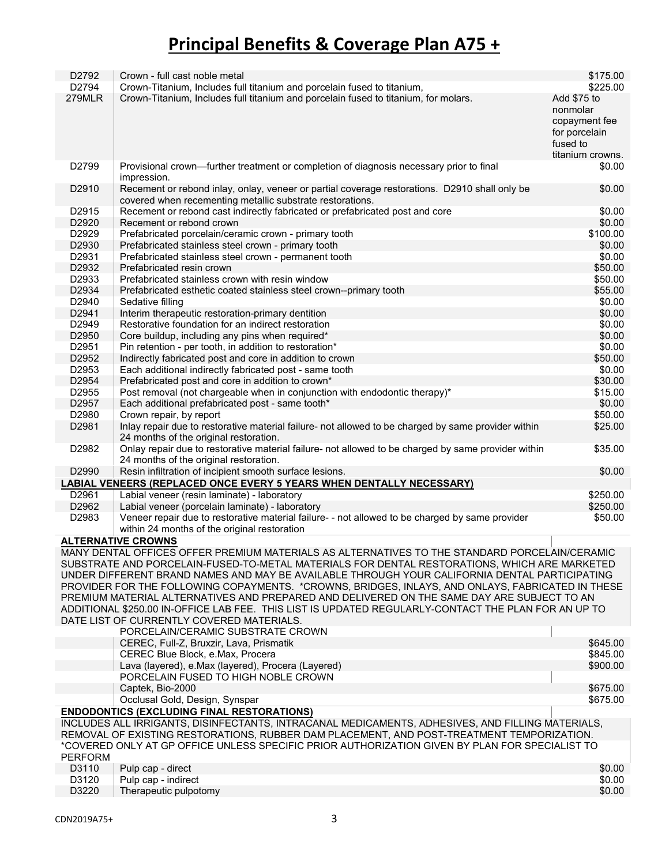| D2792                                                                                                                                                                                       | Crown - full cast noble metal                                                                                                                                                                                                                                                                                                                                                                   | \$175.00                                                              |
|---------------------------------------------------------------------------------------------------------------------------------------------------------------------------------------------|-------------------------------------------------------------------------------------------------------------------------------------------------------------------------------------------------------------------------------------------------------------------------------------------------------------------------------------------------------------------------------------------------|-----------------------------------------------------------------------|
| D2794                                                                                                                                                                                       | Crown-Titanium, Includes full titanium and porcelain fused to titanium,                                                                                                                                                                                                                                                                                                                         | \$225.00                                                              |
| 279MLR                                                                                                                                                                                      | Crown-Titanium, Includes full titanium and porcelain fused to titanium, for molars.                                                                                                                                                                                                                                                                                                             | Add \$75 to<br>nonmolar<br>copayment fee<br>for porcelain<br>fused to |
|                                                                                                                                                                                             |                                                                                                                                                                                                                                                                                                                                                                                                 | titanium crowns.                                                      |
| D2799                                                                                                                                                                                       | Provisional crown—further treatment or completion of diagnosis necessary prior to final<br>impression.                                                                                                                                                                                                                                                                                          | \$0.00                                                                |
| D2910                                                                                                                                                                                       | Recement or rebond inlay, onlay, veneer or partial coverage restorations. D2910 shall only be<br>covered when recementing metallic substrate restorations.                                                                                                                                                                                                                                      | \$0.00                                                                |
| D2915                                                                                                                                                                                       | Recement or rebond cast indirectly fabricated or prefabricated post and core                                                                                                                                                                                                                                                                                                                    | \$0.00                                                                |
| D2920                                                                                                                                                                                       | Recement or rebond crown                                                                                                                                                                                                                                                                                                                                                                        | \$0.00                                                                |
| D2929                                                                                                                                                                                       | Prefabricated porcelain/ceramic crown - primary tooth                                                                                                                                                                                                                                                                                                                                           | \$100.00                                                              |
| D2930                                                                                                                                                                                       | Prefabricated stainless steel crown - primary tooth                                                                                                                                                                                                                                                                                                                                             | \$0.00                                                                |
| D2931                                                                                                                                                                                       | Prefabricated stainless steel crown - permanent tooth                                                                                                                                                                                                                                                                                                                                           | \$0.00                                                                |
| D2932                                                                                                                                                                                       | Prefabricated resin crown                                                                                                                                                                                                                                                                                                                                                                       | \$50.00                                                               |
| D2933                                                                                                                                                                                       | Prefabricated stainless crown with resin window                                                                                                                                                                                                                                                                                                                                                 | \$50.00                                                               |
| D2934                                                                                                                                                                                       | Prefabricated esthetic coated stainless steel crown--primary tooth                                                                                                                                                                                                                                                                                                                              | \$55.00                                                               |
| D2940                                                                                                                                                                                       | Sedative filling                                                                                                                                                                                                                                                                                                                                                                                | \$0.00                                                                |
| D2941                                                                                                                                                                                       | Interim therapeutic restoration-primary dentition                                                                                                                                                                                                                                                                                                                                               | \$0.00                                                                |
| D <sub>2949</sub>                                                                                                                                                                           | Restorative foundation for an indirect restoration                                                                                                                                                                                                                                                                                                                                              | \$0.00                                                                |
| D2950                                                                                                                                                                                       | Core buildup, including any pins when required*                                                                                                                                                                                                                                                                                                                                                 | \$0.00                                                                |
| D2951                                                                                                                                                                                       | Pin retention - per tooth, in addition to restoration*                                                                                                                                                                                                                                                                                                                                          | \$0.00                                                                |
| D2952                                                                                                                                                                                       | Indirectly fabricated post and core in addition to crown                                                                                                                                                                                                                                                                                                                                        | \$50.00                                                               |
| D2953                                                                                                                                                                                       | Each additional indirectly fabricated post - same tooth                                                                                                                                                                                                                                                                                                                                         | \$0.00                                                                |
| D2954                                                                                                                                                                                       | Prefabricated post and core in addition to crown*                                                                                                                                                                                                                                                                                                                                               | \$30.00                                                               |
| D2955                                                                                                                                                                                       | Post removal (not chargeable when in conjunction with endodontic therapy)*                                                                                                                                                                                                                                                                                                                      | \$15.00                                                               |
| D2957                                                                                                                                                                                       | Each additional prefabricated post - same tooth*                                                                                                                                                                                                                                                                                                                                                | \$0.00                                                                |
| D2980                                                                                                                                                                                       | Crown repair, by report                                                                                                                                                                                                                                                                                                                                                                         | \$50.00                                                               |
| D2981                                                                                                                                                                                       | Inlay repair due to restorative material failure- not allowed to be charged by same provider within                                                                                                                                                                                                                                                                                             | \$25.00                                                               |
|                                                                                                                                                                                             | 24 months of the original restoration.                                                                                                                                                                                                                                                                                                                                                          |                                                                       |
| D2982                                                                                                                                                                                       | Onlay repair due to restorative material failure- not allowed to be charged by same provider within<br>24 months of the original restoration.                                                                                                                                                                                                                                                   | \$35.00                                                               |
| D2990                                                                                                                                                                                       | Resin infiltration of incipient smooth surface lesions.                                                                                                                                                                                                                                                                                                                                         | \$0.00                                                                |
|                                                                                                                                                                                             |                                                                                                                                                                                                                                                                                                                                                                                                 |                                                                       |
| D2961                                                                                                                                                                                       | LABIAL VENEERS (REPLACED ONCE EVERY 5 YEARS WHEN DENTALLY NECESSARY)                                                                                                                                                                                                                                                                                                                            |                                                                       |
| D2962                                                                                                                                                                                       | Labial veneer (resin laminate) - laboratory                                                                                                                                                                                                                                                                                                                                                     | \$250.00<br>\$250.00                                                  |
|                                                                                                                                                                                             | Labial veneer (porcelain laminate) - laboratory                                                                                                                                                                                                                                                                                                                                                 |                                                                       |
| D2983                                                                                                                                                                                       | Veneer repair due to restorative material failure- - not allowed to be charged by same provider<br>within 24 months of the original restoration                                                                                                                                                                                                                                                 | \$50.00                                                               |
|                                                                                                                                                                                             | <b>ALTERNATIVE CROWNS</b>                                                                                                                                                                                                                                                                                                                                                                       |                                                                       |
|                                                                                                                                                                                             | MANY DENTAL OFFICES OFFER PREMIUM MATERIALS AS ALTERNATIVES TO THE STANDARD PORCELAIN/CERAMIC                                                                                                                                                                                                                                                                                                   |                                                                       |
|                                                                                                                                                                                             | SUBSTRATE AND PORCELAIN-FUSED-TO-METAL MATERIALS FOR DENTAL RESTORATIONS, WHICH ARE MARKETED<br>UNDER DIFFERENT BRAND NAMES AND MAY BE AVAILABLE THROUGH YOUR CALIFORNIA DENTAL PARTICIPATING<br>PROVIDER FOR THE FOLLOWING COPAYMENTS. *CROWNS, BRIDGES, INLAYS, AND ONLAYS, FABRICATED IN THESE<br>PREMIUM MATERIAL ALTERNATIVES AND PREPARED AND DELIVERED ON THE SAME DAY ARE SUBJECT TO AN |                                                                       |
|                                                                                                                                                                                             | ADDITIONAL \$250.00 IN-OFFICE LAB FEE. THIS LIST IS UPDATED REGULARLY-CONTACT THE PLAN FOR AN UP TO<br>DATE LIST OF CURRENTLY COVERED MATERIALS.                                                                                                                                                                                                                                                |                                                                       |
|                                                                                                                                                                                             | PORCELAIN/CERAMIC SUBSTRATE CROWN                                                                                                                                                                                                                                                                                                                                                               |                                                                       |
|                                                                                                                                                                                             | CEREC, Full-Z, Bruxzir, Lava, Prismatik                                                                                                                                                                                                                                                                                                                                                         | \$645.00                                                              |
|                                                                                                                                                                                             | CEREC Blue Block, e.Max, Procera                                                                                                                                                                                                                                                                                                                                                                | \$845.00                                                              |
|                                                                                                                                                                                             | Lava (layered), e.Max (layered), Procera (Layered)                                                                                                                                                                                                                                                                                                                                              | \$900.00                                                              |
|                                                                                                                                                                                             | PORCELAIN FUSED TO HIGH NOBLE CROWN                                                                                                                                                                                                                                                                                                                                                             |                                                                       |
|                                                                                                                                                                                             | Captek, Bio-2000                                                                                                                                                                                                                                                                                                                                                                                | \$675.00                                                              |
|                                                                                                                                                                                             | Occlusal Gold, Design, Synspar                                                                                                                                                                                                                                                                                                                                                                  | \$675.00                                                              |
| <b>ENDODONTICS (EXCLUDING FINAL RESTORATIONS)</b><br>INCLUDES ALL IRRIGANTS, DISINFECTANTS, INTRACANAL MEDICAMENTS, ADHESIVES, AND FILLING MATERIALS,                                       |                                                                                                                                                                                                                                                                                                                                                                                                 |                                                                       |
| REMOVAL OF EXISTING RESTORATIONS, RUBBER DAM PLACEMENT, AND POST-TREATMENT TEMPORIZATION.<br>*COVERED ONLY AT GP OFFICE UNLESS SPECIFIC PRIOR AUTHORIZATION GIVEN BY PLAN FOR SPECIALIST TO |                                                                                                                                                                                                                                                                                                                                                                                                 |                                                                       |
| <b>PERFORM</b>                                                                                                                                                                              |                                                                                                                                                                                                                                                                                                                                                                                                 |                                                                       |
| D3110                                                                                                                                                                                       | Pulp cap - direct                                                                                                                                                                                                                                                                                                                                                                               | \$0.00                                                                |
| D3120                                                                                                                                                                                       | Pulp cap - indirect                                                                                                                                                                                                                                                                                                                                                                             | \$0.00                                                                |
| D3220                                                                                                                                                                                       | Therapeutic pulpotomy                                                                                                                                                                                                                                                                                                                                                                           | \$0.00                                                                |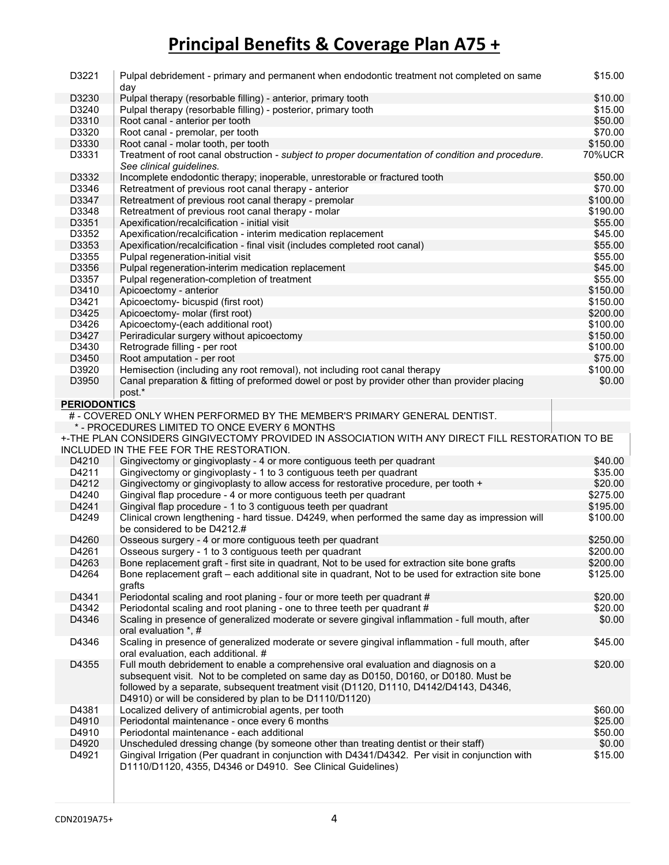| D3221               | Pulpal debridement - primary and permanent when endodontic treatment not completed on same<br>day                                                               | \$15.00       |
|---------------------|-----------------------------------------------------------------------------------------------------------------------------------------------------------------|---------------|
| D3230               | Pulpal therapy (resorbable filling) - anterior, primary tooth                                                                                                   | \$10.00       |
| D3240               | Pulpal therapy (resorbable filling) - posterior, primary tooth                                                                                                  | \$15.00       |
| D3310               | Root canal - anterior per tooth                                                                                                                                 | \$50.00       |
| D3320               | Root canal - premolar, per tooth                                                                                                                                | \$70.00       |
| D3330               | Root canal - molar tooth, per tooth                                                                                                                             | \$150.00      |
| D3331               | Treatment of root canal obstruction - subject to proper documentation of condition and procedure.                                                               | <b>70%UCR</b> |
|                     | See clinical guidelines.                                                                                                                                        |               |
| D3332               | Incomplete endodontic therapy; inoperable, unrestorable or fractured tooth                                                                                      | \$50.00       |
| D3346               | Retreatment of previous root canal therapy - anterior                                                                                                           | \$70.00       |
| D3347               | Retreatment of previous root canal therapy - premolar                                                                                                           | \$100.00      |
|                     |                                                                                                                                                                 | \$190.00      |
| D3348               | Retreatment of previous root canal therapy - molar                                                                                                              |               |
| D3351               | Apexification/recalcification - initial visit                                                                                                                   | \$55.00       |
| D3352               | Apexification/recalcification - interim medication replacement                                                                                                  | \$45.00       |
| D3353               | Apexification/recalcification - final visit (includes completed root canal)                                                                                     | \$55.00       |
| D3355               | Pulpal regeneration-initial visit                                                                                                                               | \$55.00       |
| D3356               | Pulpal regeneration-interim medication replacement                                                                                                              | \$45.00       |
| D3357               | Pulpal regeneration-completion of treatment                                                                                                                     | \$55.00       |
| D3410               | Apicoectomy - anterior                                                                                                                                          | \$150.00      |
| D3421               | Apicoectomy- bicuspid (first root)                                                                                                                              | \$150.00      |
| D3425               | Apicoectomy- molar (first root)                                                                                                                                 | \$200.00      |
| D3426               | Apicoectomy-(each additional root)                                                                                                                              | \$100.00      |
| D3427               | Periradicular surgery without apicoectomy                                                                                                                       | \$150.00      |
| D3430               | Retrograde filling - per root                                                                                                                                   | \$100.00      |
| D3450               | Root amputation - per root                                                                                                                                      | \$75.00       |
| D3920               | Hemisection (including any root removal), not including root canal therapy                                                                                      | \$100.00      |
| D3950               | Canal preparation & fitting of preformed dowel or post by provider other than provider placing                                                                  | \$0.00        |
|                     | post.*                                                                                                                                                          |               |
| <b>PERIODONTICS</b> |                                                                                                                                                                 |               |
|                     | # - COVERED ONLY WHEN PERFORMED BY THE MEMBER'S PRIMARY GENERAL DENTIST.                                                                                        |               |
|                     | * - PROCEDURES LIMITED TO ONCE EVERY 6 MONTHS                                                                                                                   |               |
|                     | +-THE PLAN CONSIDERS GINGIVECTOMY PROVIDED IN ASSOCIATION WITH ANY DIRECT FILL RESTORATION TO BE                                                                |               |
|                     | INCLUDED IN THE FEE FOR THE RESTORATION.                                                                                                                        |               |
| D4210               | Gingivectomy or gingivoplasty - 4 or more contiguous teeth per quadrant                                                                                         | \$40.00       |
| D4211               | Gingivectomy or gingivoplasty - 1 to 3 contiguous teeth per quadrant                                                                                            | \$35.00       |
| D4212               | Gingivectomy or gingivoplasty to allow access for restorative procedure, per tooth +                                                                            | \$20.00       |
| D4240               | Gingival flap procedure - 4 or more contiguous teeth per quadrant                                                                                               | \$275.00      |
| D4241               | Gingival flap procedure - 1 to 3 contiguous teeth per quadrant                                                                                                  | \$195.00      |
| D4249               | Clinical crown lengthening - hard tissue. D4249, when performed the same day as impression will                                                                 | \$100.00      |
|                     | be considered to be D4212.#                                                                                                                                     |               |
| D4260               | Osseous surgery - 4 or more contiguous teeth per quadrant                                                                                                       | \$250.00      |
| D4261               |                                                                                                                                                                 | \$200.00      |
| D4263               | Osseous surgery - 1 to 3 contiguous teeth per quadrant<br>Bone replacement graft - first site in quadrant, Not to be used for extraction site bone grafts       | \$200.00      |
|                     |                                                                                                                                                                 | \$125.00      |
| D4264               | Bone replacement graft – each additional site in quadrant, Not to be used for extraction site bone                                                              |               |
|                     | grafts                                                                                                                                                          |               |
| D4341               | Periodontal scaling and root planing - four or more teeth per quadrant #                                                                                        | \$20.00       |
| D4342               | Periodontal scaling and root planing - one to three teeth per quadrant #                                                                                        | \$20.00       |
| D4346               | Scaling in presence of generalized moderate or severe gingival inflammation - full mouth, after                                                                 | \$0.00        |
|                     | oral evaluation *, #                                                                                                                                            |               |
| D4346               | Scaling in presence of generalized moderate or severe gingival inflammation - full mouth, after                                                                 | \$45.00       |
|                     | oral evaluation, each additional. #                                                                                                                             |               |
| D4355               | Full mouth debridement to enable a comprehensive oral evaluation and diagnosis on a                                                                             | \$20.00       |
|                     | subsequent visit. Not to be completed on same day as D0150, D0160, or D0180. Must be                                                                            |               |
|                     | followed by a separate, subsequent treatment visit (D1120, D1110, D4142/D4143, D4346,                                                                           |               |
|                     |                                                                                                                                                                 |               |
|                     | D4910) or will be considered by plan to be D1110/D1120)                                                                                                         |               |
| D4381               | Localized delivery of antimicrobial agents, per tooth                                                                                                           | \$60.00       |
| D4910               | Periodontal maintenance - once every 6 months                                                                                                                   | \$25.00       |
| D4910               | Periodontal maintenance - each additional                                                                                                                       | \$50.00       |
| D4920               | Unscheduled dressing change (by someone other than treating dentist or their staff)                                                                             | \$0.00        |
| D4921               | Gingival Irrigation (Per quadrant in conjunction with D4341/D4342. Per visit in conjunction with<br>D1110/D1120, 4355, D4346 or D4910. See Clinical Guidelines) | \$15.00       |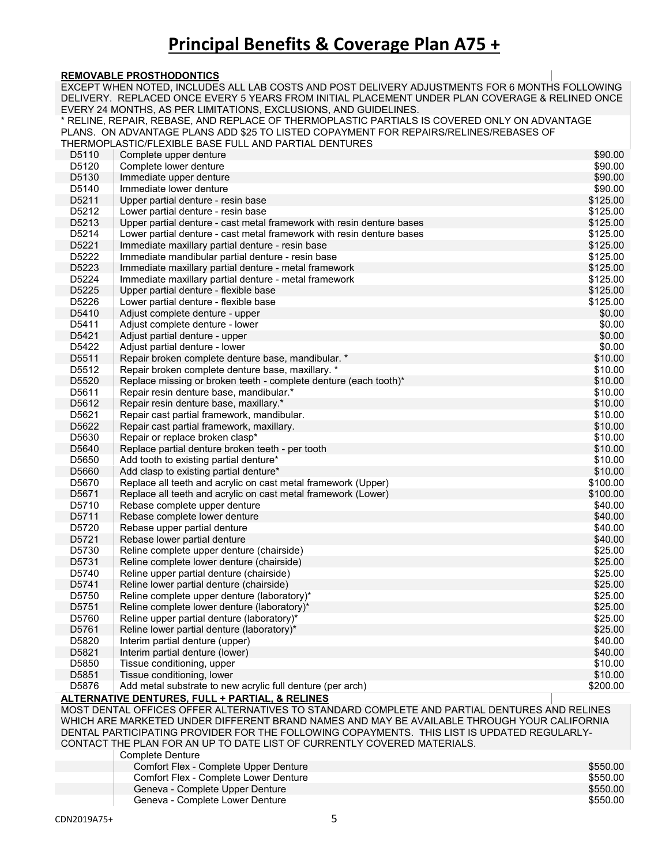#### **REMOVABLE PROSTHODONTICS**

|                | EXCEPT WHEN NOTED, INCLUDES ALL LAB COSTS AND POST DELIVERY ADJUSTMENTS FOR 6 MONTHS FOLLOWING<br>DELIVERY. REPLACED ONCE EVERY 5 YEARS FROM INITIAL PLACEMENT UNDER PLAN COVERAGE & RELINED ONCE                                                                                                                                                                     |                      |
|----------------|-----------------------------------------------------------------------------------------------------------------------------------------------------------------------------------------------------------------------------------------------------------------------------------------------------------------------------------------------------------------------|----------------------|
|                | EVERY 24 MONTHS, AS PER LIMITATIONS, EXCLUSIONS, AND GUIDELINES.                                                                                                                                                                                                                                                                                                      |                      |
|                | * RELINE, REPAIR, REBASE, AND REPLACE OF THERMOPLASTIC PARTIALS IS COVERED ONLY ON ADVANTAGE<br>PLANS. ON ADVANTAGE PLANS ADD \$25 TO LISTED COPAYMENT FOR REPAIRS/RELINES/REBASES OF<br>THERMOPLASTIC/FLEXIBLE BASE FULL AND PARTIAL DENTURES                                                                                                                        |                      |
| D5110          | Complete upper denture                                                                                                                                                                                                                                                                                                                                                | \$90.00              |
| D5120          | Complete lower denture                                                                                                                                                                                                                                                                                                                                                | \$90.00              |
| D5130          | Immediate upper denture                                                                                                                                                                                                                                                                                                                                               | \$90.00              |
| D5140          | Immediate lower denture                                                                                                                                                                                                                                                                                                                                               | \$90.00              |
| D5211          | Upper partial denture - resin base                                                                                                                                                                                                                                                                                                                                    | \$125.00             |
| D5212          | Lower partial denture - resin base                                                                                                                                                                                                                                                                                                                                    | \$125.00             |
| D5213          | Upper partial denture - cast metal framework with resin denture bases                                                                                                                                                                                                                                                                                                 | \$125.00             |
| D5214          | Lower partial denture - cast metal framework with resin denture bases                                                                                                                                                                                                                                                                                                 | \$125.00             |
| D5221          | Immediate maxillary partial denture - resin base                                                                                                                                                                                                                                                                                                                      | \$125.00             |
| D5222          | Immediate mandibular partial denture - resin base                                                                                                                                                                                                                                                                                                                     | \$125.00             |
| D5223          | Immediate maxillary partial denture - metal framework                                                                                                                                                                                                                                                                                                                 | \$125.00             |
| D5224          | Immediate maxillary partial denture - metal framework                                                                                                                                                                                                                                                                                                                 | \$125.00             |
| D5225          | Upper partial denture - flexible base                                                                                                                                                                                                                                                                                                                                 | \$125.00             |
| D5226          | Lower partial denture - flexible base                                                                                                                                                                                                                                                                                                                                 | \$125.00             |
| D5410          | Adjust complete denture - upper                                                                                                                                                                                                                                                                                                                                       | \$0.00               |
| D5411          | Adjust complete denture - lower                                                                                                                                                                                                                                                                                                                                       | \$0.00               |
| D5421          | Adjust partial denture - upper                                                                                                                                                                                                                                                                                                                                        | \$0.00               |
| D5422          | Adjust partial denture - lower                                                                                                                                                                                                                                                                                                                                        | \$0.00               |
| D5511          | Repair broken complete denture base, mandibular. *                                                                                                                                                                                                                                                                                                                    | \$10.00              |
| D5512          | Repair broken complete denture base, maxillary. *                                                                                                                                                                                                                                                                                                                     | \$10.00              |
| D5520          | Replace missing or broken teeth - complete denture (each tooth)*                                                                                                                                                                                                                                                                                                      | \$10.00              |
| D5611          | Repair resin denture base, mandibular.*                                                                                                                                                                                                                                                                                                                               | \$10.00              |
| D5612<br>D5621 | Repair resin denture base, maxillary.*                                                                                                                                                                                                                                                                                                                                | \$10.00<br>\$10.00   |
| D5622          | Repair cast partial framework, mandibular.                                                                                                                                                                                                                                                                                                                            | \$10.00              |
| D5630          | Repair cast partial framework, maxillary.<br>Repair or replace broken clasp*                                                                                                                                                                                                                                                                                          | \$10.00              |
| D5640          | Replace partial denture broken teeth - per tooth                                                                                                                                                                                                                                                                                                                      | \$10.00              |
| D5650          | Add tooth to existing partial denture*                                                                                                                                                                                                                                                                                                                                | \$10.00              |
| D5660          | Add clasp to existing partial denture*                                                                                                                                                                                                                                                                                                                                | \$10.00              |
| D5670          | Replace all teeth and acrylic on cast metal framework (Upper)                                                                                                                                                                                                                                                                                                         | \$100.00             |
| D5671          | Replace all teeth and acrylic on cast metal framework (Lower)                                                                                                                                                                                                                                                                                                         | \$100.00             |
| D5710          | Rebase complete upper denture                                                                                                                                                                                                                                                                                                                                         | \$40.00              |
| D5711          | Rebase complete lower denture                                                                                                                                                                                                                                                                                                                                         | \$40.00              |
| D5720          | Rebase upper partial denture                                                                                                                                                                                                                                                                                                                                          | \$40.00              |
| D5721          | Rebase lower partial denture                                                                                                                                                                                                                                                                                                                                          | \$40.00              |
| D5730          | Reline complete upper denture (chairside)                                                                                                                                                                                                                                                                                                                             | \$25.00              |
| D5731          | Reline complete lower denture (chairside)                                                                                                                                                                                                                                                                                                                             | \$25.00              |
| D5740          | Reline upper partial denture (chairside)                                                                                                                                                                                                                                                                                                                              | \$25.00              |
| D5741          | Reline lower partial denture (chairside)                                                                                                                                                                                                                                                                                                                              | \$25.00              |
| D5750          | Reline complete upper denture (laboratory)*                                                                                                                                                                                                                                                                                                                           | \$25.00              |
| D5751          | Reline complete lower denture (laboratory)*                                                                                                                                                                                                                                                                                                                           | \$25.00              |
| D5760          | Reline upper partial denture (laboratory)*                                                                                                                                                                                                                                                                                                                            | \$25.00              |
| D5761          | Reline lower partial denture (laboratory)*                                                                                                                                                                                                                                                                                                                            | \$25.00              |
| D5820          | Interim partial denture (upper)                                                                                                                                                                                                                                                                                                                                       | \$40.00              |
| D5821          | Interim partial denture (lower)                                                                                                                                                                                                                                                                                                                                       | \$40.00              |
| D5850          | Tissue conditioning, upper                                                                                                                                                                                                                                                                                                                                            | \$10.00              |
| D5851<br>D5876 | Tissue conditioning, lower<br>Add metal substrate to new acrylic full denture (per arch)                                                                                                                                                                                                                                                                              | \$10.00<br>\$200.00  |
|                | ALTERNATIVE DENTURES, FULL + PARTIAL, & RELINES                                                                                                                                                                                                                                                                                                                       |                      |
|                | MOST DENTAL OFFICES OFFER ALTERNATIVES TO STANDARD COMPLETE AND PARTIAL DENTURES AND RELINES<br>WHICH ARE MARKETED UNDER DIFFERENT BRAND NAMES AND MAY BE AVAILABLE THROUGH YOUR CALIFORNIA<br>DENTAL PARTICIPATING PROVIDER FOR THE FOLLOWING COPAYMENTS. THIS LIST IS UPDATED REGULARLY-<br>CONTACT THE PLAN FOR AN UP TO DATE LIST OF CURRENTLY COVERED MATERIALS. |                      |
|                | <b>Complete Denture</b>                                                                                                                                                                                                                                                                                                                                               |                      |
|                | Comfort Flex - Complete Upper Denture                                                                                                                                                                                                                                                                                                                                 | \$550.00             |
|                | Comfort Flex - Complete Lower Denture<br>Geneva - Complete Upper Denture                                                                                                                                                                                                                                                                                              | \$550.00<br>\$550.00 |
|                | Geneva - Complete Lower Denture                                                                                                                                                                                                                                                                                                                                       | \$550.00             |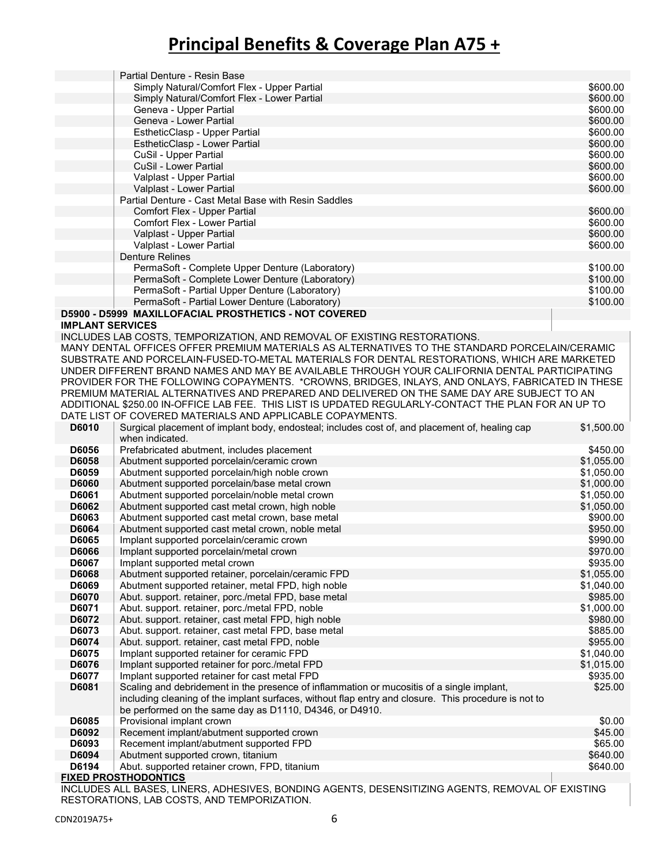|                         | Partial Denture - Resin Base                                                                                      |            |
|-------------------------|-------------------------------------------------------------------------------------------------------------------|------------|
|                         | Simply Natural/Comfort Flex - Upper Partial                                                                       | \$600.00   |
|                         | Simply Natural/Comfort Flex - Lower Partial                                                                       | \$600.00   |
|                         | Geneva - Upper Partial                                                                                            | \$600.00   |
|                         | Geneva - Lower Partial                                                                                            | \$600.00   |
|                         | EstheticClasp - Upper Partial                                                                                     | \$600.00   |
|                         | EstheticClasp - Lower Partial                                                                                     | \$600.00   |
|                         | CuSil - Upper Partial                                                                                             | \$600.00   |
|                         | CuSil - Lower Partial                                                                                             | \$600.00   |
|                         | Valplast - Upper Partial                                                                                          | \$600.00   |
|                         | Valplast - Lower Partial                                                                                          | \$600.00   |
|                         | Partial Denture - Cast Metal Base with Resin Saddles                                                              |            |
|                         | Comfort Flex - Upper Partial                                                                                      | \$600.00   |
|                         | <b>Comfort Flex - Lower Partial</b>                                                                               | \$600.00   |
|                         | Valplast - Upper Partial                                                                                          | \$600.00   |
|                         | Valplast - Lower Partial                                                                                          | \$600.00   |
|                         | <b>Denture Relines</b>                                                                                            |            |
|                         | PermaSoft - Complete Upper Denture (Laboratory)                                                                   | \$100.00   |
|                         | PermaSoft - Complete Lower Denture (Laboratory)                                                                   | \$100.00   |
|                         | PermaSoft - Partial Upper Denture (Laboratory)                                                                    | \$100.00   |
|                         | PermaSoft - Partial Lower Denture (Laboratory)                                                                    | \$100.00   |
|                         | D5900 - D5999 MAXILLOFACIAL PROSTHETICS - NOT COVERED                                                             |            |
| <b>IMPLANT SERVICES</b> |                                                                                                                   |            |
|                         | INCLUDES LAB COSTS, TEMPORIZATION, AND REMOVAL OF EXISTING RESTORATIONS.                                          |            |
|                         | MANY DENTAL OFFICES OFFER PREMIUM MATERIALS AS ALTERNATIVES TO THE STANDARD PORCELAIN/CERAMIC                     |            |
|                         | SUBSTRATE AND PORCELAIN-FUSED-TO-METAL MATERIALS FOR DENTAL RESTORATIONS, WHICH ARE MARKETED                      |            |
|                         | UNDER DIFFERENT BRAND NAMES AND MAY BE AVAILABLE THROUGH YOUR CALIFORNIA DENTAL PARTICIPATING                     |            |
|                         | PROVIDER FOR THE FOLLOWING COPAYMENTS. *CROWNS, BRIDGES, INLAYS, AND ONLAYS, FABRICATED IN THESE                  |            |
|                         | PREMIUM MATERIAL ALTERNATIVES AND PREPARED AND DELIVERED ON THE SAME DAY ARE SUBJECT TO AN                        |            |
|                         | ADDITIONAL \$250.00 IN-OFFICE LAB FEE. THIS LIST IS UPDATED REGULARLY-CONTACT THE PLAN FOR AN UP TO               |            |
|                         | DATE LIST OF COVERED MATERIALS AND APPLICABLE COPAYMENTS.                                                         |            |
| D6010                   | Surgical placement of implant body, endosteal; includes cost of, and placement of, healing cap<br>when indicated. | \$1,500.00 |
| D6056                   | Prefabricated abutment, includes placement                                                                        | \$450.00   |
| D6058                   | Abutment supported porcelain/ceramic crown                                                                        | \$1,055.00 |
| D6059                   | Abutment supported porcelain/high noble crown                                                                     | \$1,050.00 |
| <b>D6060</b>            | Abutment supported porcelain/base metal crown                                                                     | \$1,000.00 |
| D6061                   | Abutment supported porcelain/noble metal crown                                                                    | \$1,050.00 |
| D6062                   | Abutment supported cast metal crown, high noble                                                                   | \$1,050.00 |
| D6063                   | Abutment supported cast metal crown, base metal                                                                   | \$900.00   |
| D6064                   | Abutment supported cast metal crown, noble metal                                                                  | \$950.00   |
| D6065                   | Implant supported porcelain/ceramic crown                                                                         | \$990.00   |
| <b>D6066</b>            | Implant supported porcelain/metal crown                                                                           | \$970.00   |
| D6067                   | Implant supported metal crown                                                                                     | \$935.00   |
| D6068                   | Abutment supported retainer, porcelain/ceramic FPD                                                                | \$1,055.00 |
| D6069                   | Abutment supported retainer, metal FPD, high noble                                                                | \$1,040.00 |
| D6070                   | Abut. support. retainer, porc./metal FPD, base metal                                                              | \$985.00   |
| D6071                   | Abut. support. retainer, porc./metal FPD, noble                                                                   | \$1,000.00 |
| D6072                   | Abut. support. retainer, cast metal FPD, high noble                                                               | \$980.00   |
| D6073                   | Abut. support. retainer, cast metal FPD, base metal                                                               | \$885.00   |
| D6074                   | Abut. support. retainer, cast metal FPD, noble                                                                    | \$955.00   |
| D6075                   | Implant supported retainer for ceramic FPD                                                                        | \$1,040.00 |
| D6076                   | Implant supported retainer for porc./metal FPD                                                                    | \$1,015.00 |
| D6077                   | Implant supported retainer for cast metal FPD                                                                     | \$935.00   |
| D6081                   | Scaling and debridement in the presence of inflammation or mucositis of a single implant,                         | \$25.00    |
|                         | including cleaning of the implant surfaces, without flap entry and closure. This procedure is not to              |            |
|                         | be performed on the same day as D1110, D4346, or D4910.                                                           |            |
| D6085                   | Provisional implant crown                                                                                         | \$0.00     |
| D6092                   | Recement implant/abutment supported crown                                                                         | \$45.00    |
| D6093                   | Recement implant/abutment supported FPD                                                                           | \$65.00    |
| D6094                   | Abutment supported crown, titanium                                                                                | \$640.00   |
| D6194                   | Abut. supported retainer crown, FPD, titanium                                                                     | \$640.00   |
|                         | <b>FIXED PROSTHODONTICS</b>                                                                                       |            |

INCLUDES ALL BASES, LINERS, ADHESIVES, BONDING AGENTS, DESENSITIZING AGENTS, REMOVAL OF EXISTING RESTORATIONS, LAB COSTS, AND TEMPORIZATION.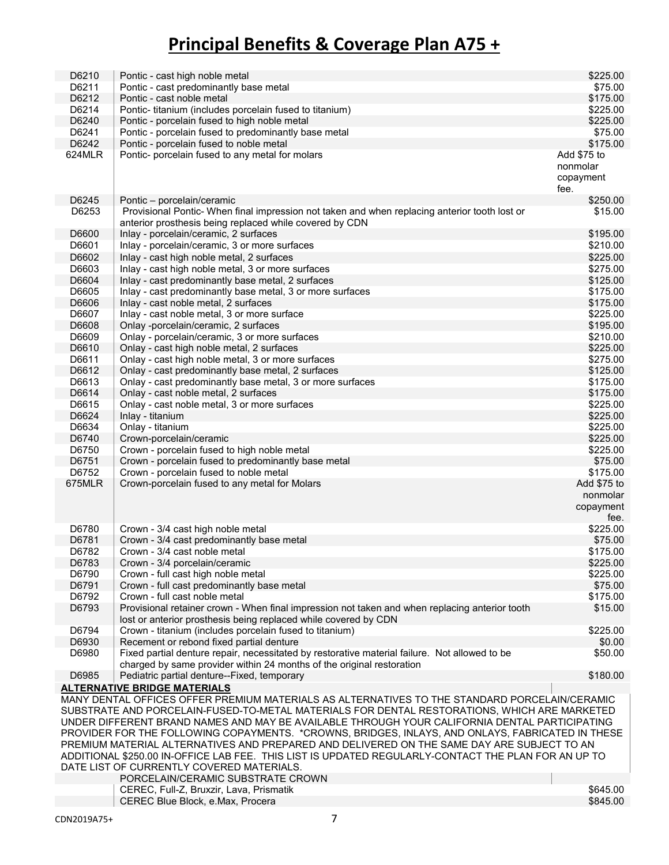| D6210  | Pontic - cast high noble metal                                                                      | \$225.00    |
|--------|-----------------------------------------------------------------------------------------------------|-------------|
| D6211  | Pontic - cast predominantly base metal                                                              | \$75.00     |
| D6212  | Pontic - cast noble metal                                                                           | \$175.00    |
| D6214  | Pontic- titanium (includes porcelain fused to titanium)                                             | \$225.00    |
| D6240  | Pontic - porcelain fused to high noble metal                                                        | \$225.00    |
| D6241  | Pontic - porcelain fused to predominantly base metal                                                | \$75.00     |
| D6242  | Pontic - porcelain fused to noble metal                                                             | \$175.00    |
|        |                                                                                                     |             |
| 624MLR | Pontic- porcelain fused to any metal for molars                                                     | Add \$75 to |
|        |                                                                                                     | nonmolar    |
|        |                                                                                                     | copayment   |
|        |                                                                                                     | fee.        |
| D6245  | Pontic - porcelain/ceramic                                                                          | \$250.00    |
| D6253  | Provisional Pontic- When final impression not taken and when replacing anterior tooth lost or       | \$15.00     |
|        | anterior prosthesis being replaced while covered by CDN                                             |             |
| D6600  | Inlay - porcelain/ceramic, 2 surfaces                                                               | \$195.00    |
| D6601  | Inlay - porcelain/ceramic, 3 or more surfaces                                                       | \$210.00    |
| D6602  | Inlay - cast high noble metal, 2 surfaces                                                           | \$225.00    |
| D6603  | Inlay - cast high noble metal, 3 or more surfaces                                                   | \$275.00    |
| D6604  | Inlay - cast predominantly base metal, 2 surfaces                                                   | \$125.00    |
| D6605  | Inlay - cast predominantly base metal, 3 or more surfaces                                           | \$175.00    |
| D6606  | Inlay - cast noble metal, 2 surfaces                                                                | \$175.00    |
| D6607  | Inlay - cast noble metal, 3 or more surface                                                         | \$225.00    |
| D6608  | Onlay -porcelain/ceramic, 2 surfaces                                                                | \$195.00    |
|        |                                                                                                     |             |
| D6609  | Onlay - porcelain/ceramic, 3 or more surfaces                                                       | \$210.00    |
| D6610  | Onlay - cast high noble metal, 2 surfaces                                                           | \$225.00    |
| D6611  | Onlay - cast high noble metal, 3 or more surfaces                                                   | \$275.00    |
| D6612  | Onlay - cast predominantly base metal, 2 surfaces                                                   | \$125.00    |
| D6613  | Onlay - cast predominantly base metal, 3 or more surfaces                                           | \$175.00    |
| D6614  | Onlay - cast noble metal, 2 surfaces                                                                | \$175.00    |
| D6615  | Onlay - cast noble metal, 3 or more surfaces                                                        | \$225.00    |
| D6624  | Inlay - titanium                                                                                    | \$225.00    |
| D6634  | Onlay - titanium                                                                                    | \$225.00    |
| D6740  | Crown-porcelain/ceramic                                                                             | \$225.00    |
| D6750  | Crown - porcelain fused to high noble metal                                                         | \$225.00    |
| D6751  | Crown - porcelain fused to predominantly base metal                                                 | \$75.00     |
| D6752  | Crown - porcelain fused to noble metal                                                              | \$175.00    |
| 675MLR | Crown-porcelain fused to any metal for Molars                                                       | Add \$75 to |
|        |                                                                                                     | nonmolar    |
|        |                                                                                                     | copayment   |
|        |                                                                                                     | fee.        |
| D6780  | Crown - 3/4 cast high noble metal                                                                   | \$225.00    |
| D6781  | Crown - 3/4 cast predominantly base metal                                                           | \$75.00     |
| D6782  | Crown - 3/4 cast noble metal                                                                        | \$175.00    |
| D6783  | Crown - 3/4 porcelain/ceramic                                                                       | \$225.00    |
| D6790  | Crown - full cast high noble metal                                                                  | \$225.00    |
|        |                                                                                                     |             |
| D6791  | Crown - full cast predominantly base metal                                                          | \$75.00     |
| D6792  | Crown - full cast noble metal                                                                       | \$175.00    |
| D6793  | Provisional retainer crown - When final impression not taken and when replacing anterior tooth      | \$15.00     |
|        | lost or anterior prosthesis being replaced while covered by CDN                                     |             |
| D6794  | Crown - titanium (includes porcelain fused to titanium)                                             | \$225.00    |
| D6930  | Recement or rebond fixed partial denture                                                            | \$0.00      |
| D6980  | Fixed partial denture repair, necessitated by restorative material failure. Not allowed to be       | \$50.00     |
|        | charged by same provider within 24 months of the original restoration                               |             |
| D6985  | Pediatric partial denture--Fixed, temporary                                                         | \$180.00    |
|        | <b>ALTERNATIVE BRIDGE MATERIALS</b>                                                                 |             |
|        | MANY DENTAL OFFICES OFFER PREMIUM MATERIALS AS ALTERNATIVES TO THE STANDARD PORCELAIN/CERAMIC       |             |
|        | SUBSTRATE AND PORCELAIN-FUSED-TO-METAL MATERIALS FOR DENTAL RESTORATIONS, WHICH ARE MARKETED        |             |
|        | UNDER DIFFERENT BRAND NAMES AND MAY BE AVAILABLE THROUGH YOUR CALIFORNIA DENTAL PARTICIPATING       |             |
|        | PROVIDER FOR THE FOLLOWING COPAYMENTS. *CROWNS, BRIDGES, INLAYS, AND ONLAYS, FABRICATED IN THESE    |             |
|        | PREMIUM MATERIAL ALTERNATIVES AND PREPARED AND DELIVERED ON THE SAME DAY ARE SUBJECT TO AN          |             |
|        | ADDITIONAL \$250.00 IN-OFFICE LAB FEE. THIS LIST IS UPDATED REGULARLY-CONTACT THE PLAN FOR AN UP TO |             |
|        | DATE LIST OF CURRENTLY COVERED MATERIALS.                                                           |             |
|        | PORCELAIN/CERAMIC SUBSTRATE CROWN                                                                   |             |
|        | CEREC, Full-Z, Bruxzir, Lava, Prismatik                                                             | \$645.00    |
|        | CEREC Blue Block, e.Max, Procera                                                                    | \$845.00    |
|        |                                                                                                     |             |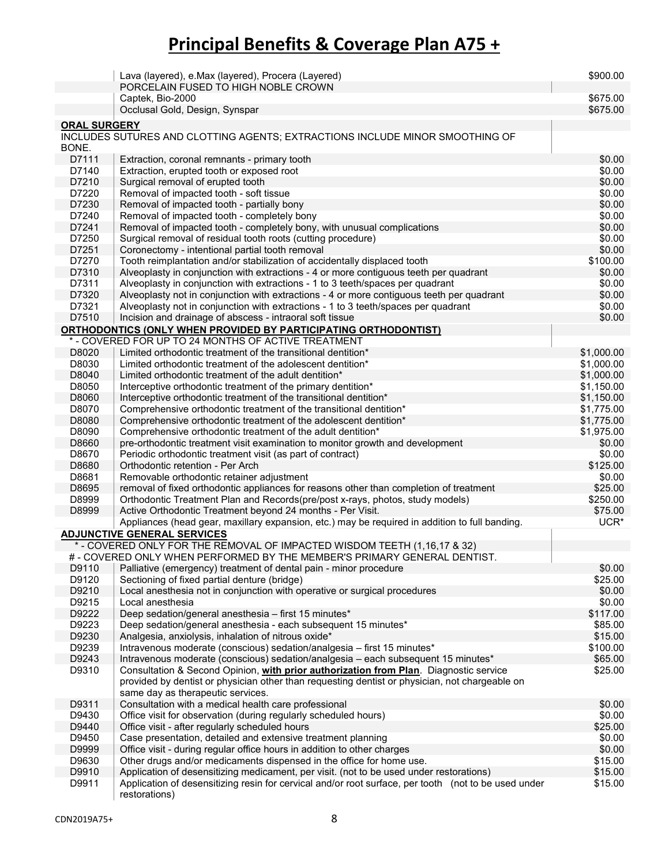|                     | Lava (layered), e.Max (layered), Procera (Layered)<br>PORCELAIN FUSED TO HIGH NOBLE CROWN                                                   | \$900.00           |
|---------------------|---------------------------------------------------------------------------------------------------------------------------------------------|--------------------|
|                     | Captek, Bio-2000                                                                                                                            | \$675.00           |
|                     | Occlusal Gold, Design, Synspar                                                                                                              | \$675.00           |
| <b>ORAL SURGERY</b> |                                                                                                                                             |                    |
| BONE.               | INCLUDES SUTURES AND CLOTTING AGENTS; EXTRACTIONS INCLUDE MINOR SMOOTHING OF                                                                |                    |
| D7111               | Extraction, coronal remnants - primary tooth                                                                                                | \$0.00             |
| D7140               | Extraction, erupted tooth or exposed root                                                                                                   | \$0.00             |
| D7210               | Surgical removal of erupted tooth                                                                                                           | \$0.00             |
| D7220               | Removal of impacted tooth - soft tissue                                                                                                     | \$0.00             |
| D7230               | Removal of impacted tooth - partially bony                                                                                                  | \$0.00             |
| D7240               | Removal of impacted tooth - completely bony                                                                                                 | \$0.00             |
| D7241               | Removal of impacted tooth - completely bony, with unusual complications                                                                     | \$0.00             |
| D7250               | Surgical removal of residual tooth roots (cutting procedure)                                                                                | \$0.00             |
| D7251               | Coronectomy - intentional partial tooth removal                                                                                             | \$0.00             |
| D7270               | Tooth reimplantation and/or stabilization of accidentally displaced tooth                                                                   | \$100.00           |
| D7310               | Alveoplasty in conjunction with extractions - 4 or more contiguous teeth per quadrant                                                       | \$0.00             |
| D7311               | Alveoplasty in conjunction with extractions - 1 to 3 teeth/spaces per quadrant                                                              | \$0.00             |
| D7320               | Alveoplasty not in conjunction with extractions - 4 or more contiguous teeth per quadrant                                                   | \$0.00             |
| D7321               | Alveoplasty not in conjunction with extractions - 1 to 3 teeth/spaces per quadrant                                                          | \$0.00             |
| D7510               | Incision and drainage of abscess - intraoral soft tissue                                                                                    | \$0.00             |
|                     | <b>ORTHODONTICS (ONLY WHEN PROVIDED BY PARTICIPATING ORTHODONTIST)</b>                                                                      |                    |
|                     | * - COVERED FOR UP TO 24 MONTHS OF ACTIVE TREATMENT                                                                                         |                    |
| D8020               | Limited orthodontic treatment of the transitional dentition*                                                                                | \$1,000.00         |
| D8030               | Limited orthodontic treatment of the adolescent dentition*                                                                                  | \$1,000.00         |
| D8040               | Limited orthodontic treatment of the adult dentition*                                                                                       | \$1,000.00         |
| D8050               | Interceptive orthodontic treatment of the primary dentition*                                                                                | \$1,150.00         |
| D8060               | Interceptive orthodontic treatment of the transitional dentition*                                                                           | \$1,150.00         |
| D8070               | Comprehensive orthodontic treatment of the transitional dentition*                                                                          | \$1,775.00         |
| D8080               | Comprehensive orthodontic treatment of the adolescent dentition*                                                                            | \$1,775.00         |
| D8090               | Comprehensive orthodontic treatment of the adult dentition*                                                                                 | \$1,975.00         |
| D8660               | pre-orthodontic treatment visit examination to monitor growth and development                                                               | \$0.00             |
| D8670               | Periodic orthodontic treatment visit (as part of contract)<br>Orthodontic retention - Per Arch                                              | \$0.00             |
| D8680               |                                                                                                                                             | \$125.00<br>\$0.00 |
| D8681<br>D8695      | Removable orthodontic retainer adjustment                                                                                                   | \$25.00            |
| D8999               | removal of fixed orthodontic appliances for reasons other than completion of treatment                                                      | \$250.00           |
| D8999               | Orthodontic Treatment Plan and Records(pre/post x-rays, photos, study models)<br>Active Orthodontic Treatment beyond 24 months - Per Visit. | \$75.00            |
|                     | Appliances (head gear, maxillary expansion, etc.) may be required in addition to full banding.                                              | UCR <sup>*</sup>   |
|                     | <b>ADJUNCTIVE GENERAL SERVICES</b>                                                                                                          |                    |
|                     | * - COVERED ONLY FOR THE REMOVAL OF IMPACTED WISDOM TEETH (1,16,17 & 32)                                                                    |                    |
|                     | # - COVERED ONLY WHEN PERFORMED BY THE MEMBER'S PRIMARY GENERAL DENTIST.                                                                    |                    |
| D9110               | Palliative (emergency) treatment of dental pain - minor procedure                                                                           | \$0.00             |
| D9120               | Sectioning of fixed partial denture (bridge)                                                                                                | \$25.00            |
| D9210               | Local anesthesia not in conjunction with operative or surgical procedures                                                                   | \$0.00             |
| D9215               | Local anesthesia                                                                                                                            | \$0.00             |
| D9222               | Deep sedation/general anesthesia - first 15 minutes*                                                                                        | \$117.00           |
| D9223               | Deep sedation/general anesthesia - each subsequent 15 minutes*                                                                              | \$85.00            |
| D9230               | Analgesia, anxiolysis, inhalation of nitrous oxide*                                                                                         | \$15.00            |
| D9239               | Intravenous moderate (conscious) sedation/analgesia - first 15 minutes*                                                                     | \$100.00           |
| D9243               | Intravenous moderate (conscious) sedation/analgesia - each subsequent 15 minutes*                                                           | \$65.00            |
| D9310               | Consultation & Second Opinion, with prior authorization from Plan. Diagnostic service                                                       | \$25.00            |
|                     | provided by dentist or physician other than requesting dentist or physician, not chargeable on                                              |                    |
|                     | same day as therapeutic services.                                                                                                           |                    |
| D9311               | Consultation with a medical health care professional                                                                                        | \$0.00             |
| D9430               | Office visit for observation (during regularly scheduled hours)                                                                             | \$0.00             |
| D9440               | Office visit - after regularly scheduled hours                                                                                              | \$25.00            |
| D9450               | Case presentation, detailed and extensive treatment planning                                                                                | \$0.00             |
| D9999               | Office visit - during regular office hours in addition to other charges                                                                     | \$0.00             |
| D9630               | Other drugs and/or medicaments dispensed in the office for home use.                                                                        | \$15.00            |
| D9910               | Application of desensitizing medicament, per visit. (not to be used under restorations)                                                     | \$15.00            |
| D9911               | Application of desensitizing resin for cervical and/or root surface, per tooth (not to be used under<br>restorations)                       | \$15.00            |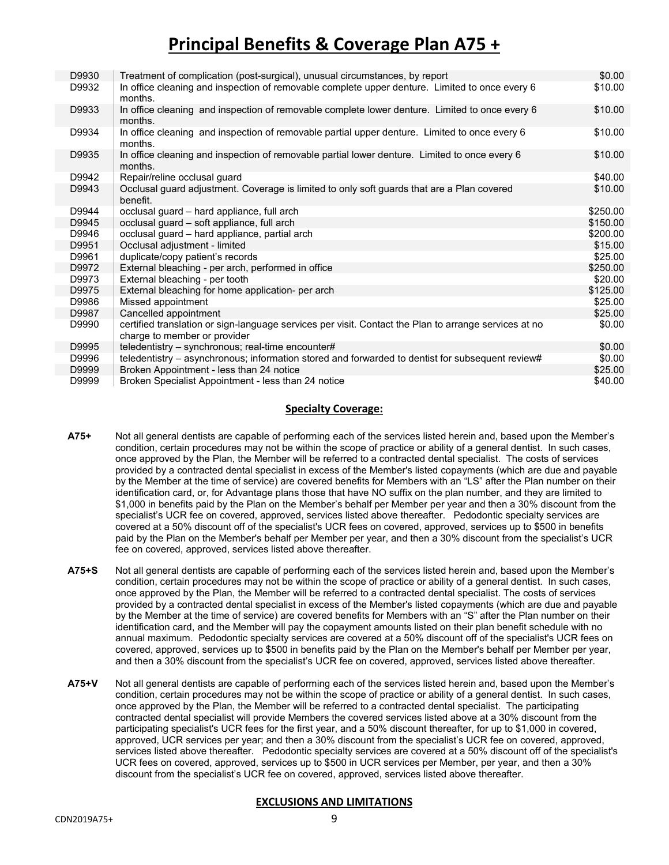| D9930 | Treatment of complication (post-surgical), unusual circumstances, by report                                                           | \$0.00   |
|-------|---------------------------------------------------------------------------------------------------------------------------------------|----------|
| D9932 | In office cleaning and inspection of removable complete upper denture. Limited to once every 6<br>months.                             | \$10.00  |
| D9933 | In office cleaning and inspection of removable complete lower denture. Limited to once every 6<br>months.                             | \$10.00  |
| D9934 | In office cleaning and inspection of removable partial upper denture. Limited to once every 6<br>months.                              | \$10.00  |
| D9935 | In office cleaning and inspection of removable partial lower denture. Limited to once every 6<br>months.                              | \$10.00  |
| D9942 | Repair/reline occlusal guard                                                                                                          | \$40.00  |
| D9943 | Occlusal guard adjustment. Coverage is limited to only soft guards that are a Plan covered<br>benefit.                                | \$10.00  |
| D9944 | occlusal guard - hard appliance, full arch                                                                                            | \$250.00 |
| D9945 | occlusal guard – soft appliance, full arch                                                                                            | \$150.00 |
| D9946 | occlusal guard – hard appliance, partial arch                                                                                         | \$200.00 |
| D9951 | Occlusal adjustment - limited                                                                                                         | \$15.00  |
| D9961 | duplicate/copy patient's records                                                                                                      | \$25.00  |
| D9972 | External bleaching - per arch, performed in office                                                                                    | \$250.00 |
| D9973 | External bleaching - per tooth                                                                                                        | \$20.00  |
| D9975 | External bleaching for home application- per arch                                                                                     | \$125.00 |
| D9986 | Missed appointment                                                                                                                    | \$25.00  |
| D9987 | Cancelled appointment                                                                                                                 | \$25.00  |
| D9990 | certified translation or sign-language services per visit. Contact the Plan to arrange services at no<br>charge to member or provider | \$0.00   |
| D9995 | teledentistry – synchronous; real-time encounter#                                                                                     | \$0.00   |
| D9996 | teledentistry - asynchronous; information stored and forwarded to dentist for subsequent review#                                      | \$0.00   |
| D9999 | Broken Appointment - less than 24 notice                                                                                              | \$25.00  |
| D9999 | Broken Specialist Appointment - less than 24 notice                                                                                   | \$40.00  |

#### **Specialty Coverage:**

- **A75+** Not all general dentists are capable of performing each of the services listed herein and, based upon the Member's condition, certain procedures may not be within the scope of practice or ability of a general dentist. In such cases, once approved by the Plan, the Member will be referred to a contracted dental specialist. The costs of services provided by a contracted dental specialist in excess of the Member's listed copayments (which are due and payable by the Member at the time of service) are covered benefits for Members with an "LS" after the Plan number on their identification card, or, for Advantage plans those that have NO suffix on the plan number, and they are limited to \$1,000 in benefits paid by the Plan on the Member's behalf per Member per year and then a 30% discount from the specialist's UCR fee on covered, approved, services listed above thereafter. Pedodontic specialty services are covered at a 50% discount off of the specialist's UCR fees on covered, approved, services up to \$500 in benefits paid by the Plan on the Member's behalf per Member per year, and then a 30% discount from the specialist's UCR fee on covered, approved, services listed above thereafter.
- **A75+S** Not all general dentists are capable of performing each of the services listed herein and, based upon the Member's condition, certain procedures may not be within the scope of practice or ability of a general dentist. In such cases, once approved by the Plan, the Member will be referred to a contracted dental specialist. The costs of services provided by a contracted dental specialist in excess of the Member's listed copayments (which are due and payable by the Member at the time of service) are covered benefits for Members with an "S" after the Plan number on their identification card, and the Member will pay the copayment amounts listed on their plan benefit schedule with no annual maximum. Pedodontic specialty services are covered at a 50% discount off of the specialist's UCR fees on covered, approved, services up to \$500 in benefits paid by the Plan on the Member's behalf per Member per year, and then a 30% discount from the specialist's UCR fee on covered, approved, services listed above thereafter.
- **A75+V** Not all general dentists are capable of performing each of the services listed herein and, based upon the Member's condition, certain procedures may not be within the scope of practice or ability of a general dentist. In such cases, once approved by the Plan, the Member will be referred to a contracted dental specialist. The participating contracted dental specialist will provide Members the covered services listed above at a 30% discount from the participating specialist's UCR fees for the first year, and a 50% discount thereafter, for up to \$1,000 in covered, approved, UCR services per year; and then a 30% discount from the specialist's UCR fee on covered, approved, services listed above thereafter. Pedodontic specialty services are covered at a 50% discount off of the specialist's UCR fees on covered, approved, services up to \$500 in UCR services per Member, per year, and then a 30% discount from the specialist's UCR fee on covered, approved, services listed above thereafter.

#### **EXCLUSIONS AND LIMITATIONS**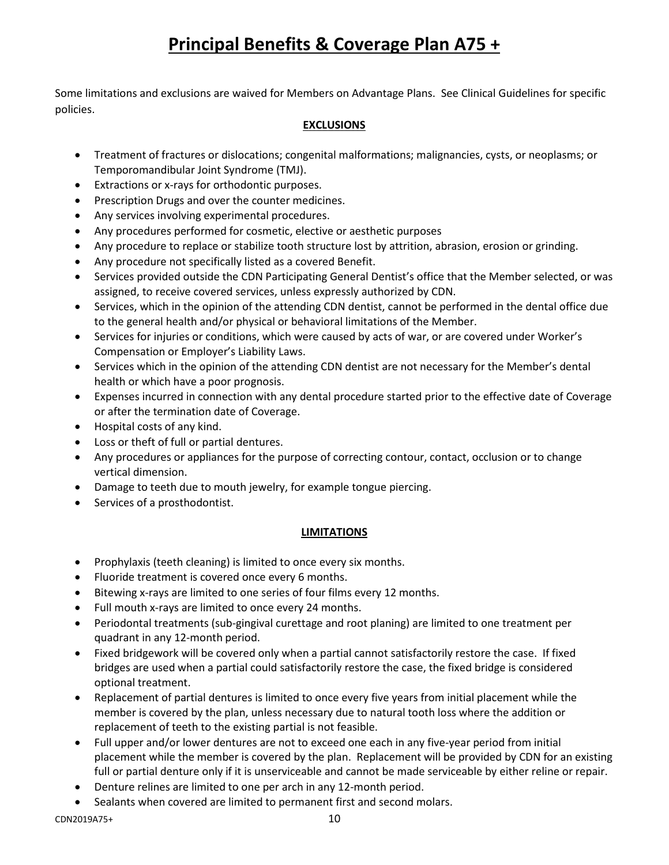Some limitations and exclusions are waived for Members on Advantage Plans. See Clinical Guidelines for specific policies.

#### **EXCLUSIONS**

- Treatment of fractures or dislocations; congenital malformations; malignancies, cysts, or neoplasms; or Temporomandibular Joint Syndrome (TMJ).
- Extractions or x-rays for orthodontic purposes.
- Prescription Drugs and over the counter medicines.
- Any services involving experimental procedures.
- Any procedures performed for cosmetic, elective or aesthetic purposes
- Any procedure to replace or stabilize tooth structure lost by attrition, abrasion, erosion or grinding.
- Any procedure not specifically listed as a covered Benefit.
- Services provided outside the CDN Participating General Dentist's office that the Member selected, or was assigned, to receive covered services, unless expressly authorized by CDN.
- Services, which in the opinion of the attending CDN dentist, cannot be performed in the dental office due to the general health and/or physical or behavioral limitations of the Member.
- Services for injuries or conditions, which were caused by acts of war, or are covered under Worker's Compensation or Employer's Liability Laws.
- Services which in the opinion of the attending CDN dentist are not necessary for the Member's dental health or which have a poor prognosis.
- Expenses incurred in connection with any dental procedure started prior to the effective date of Coverage or after the termination date of Coverage.
- Hospital costs of any kind.
- Loss or theft of full or partial dentures.
- Any procedures or appliances for the purpose of correcting contour, contact, occlusion or to change vertical dimension.
- Damage to teeth due to mouth jewelry, for example tongue piercing.
- Services of a prosthodontist.

#### **LIMITATIONS**

- Prophylaxis (teeth cleaning) is limited to once every six months.
- Fluoride treatment is covered once every 6 months.
- Bitewing x-rays are limited to one series of four films every 12 months.
- Full mouth x-rays are limited to once every 24 months.
- Periodontal treatments (sub-gingival curettage and root planing) are limited to one treatment per quadrant in any 12-month period.
- Fixed bridgework will be covered only when a partial cannot satisfactorily restore the case. If fixed bridges are used when a partial could satisfactorily restore the case, the fixed bridge is considered optional treatment.
- Replacement of partial dentures is limited to once every five years from initial placement while the member is covered by the plan, unless necessary due to natural tooth loss where the addition or replacement of teeth to the existing partial is not feasible.
- Full upper and/or lower dentures are not to exceed one each in any five-year period from initial placement while the member is covered by the plan. Replacement will be provided by CDN for an existing full or partial denture only if it is unserviceable and cannot be made serviceable by either reline or repair.
- Denture relines are limited to one per arch in any 12-month period.
- Sealants when covered are limited to permanent first and second molars.

CDN2019A75+ 10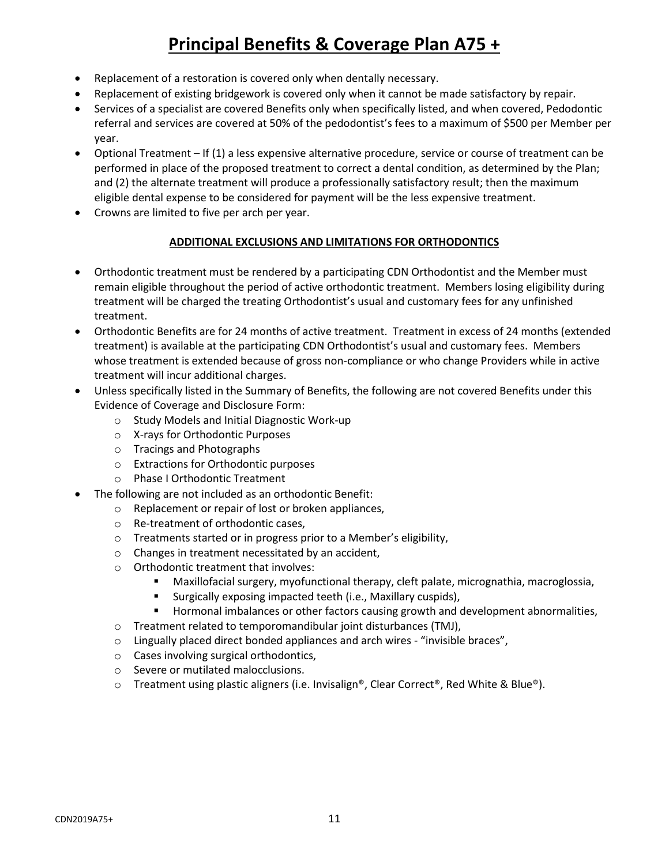- Replacement of a restoration is covered only when dentally necessary.
- Replacement of existing bridgework is covered only when it cannot be made satisfactory by repair.
- Services of a specialist are covered Benefits only when specifically listed, and when covered, Pedodontic referral and services are covered at 50% of the pedodontist's fees to a maximum of \$500 per Member per year.
- Optional Treatment If (1) a less expensive alternative procedure, service or course of treatment can be performed in place of the proposed treatment to correct a dental condition, as determined by the Plan; and (2) the alternate treatment will produce a professionally satisfactory result; then the maximum eligible dental expense to be considered for payment will be the less expensive treatment.
- Crowns are limited to five per arch per year.

#### **ADDITIONAL EXCLUSIONS AND LIMITATIONS FOR ORTHODONTICS**

- Orthodontic treatment must be rendered by a participating CDN Orthodontist and the Member must remain eligible throughout the period of active orthodontic treatment. Members losing eligibility during treatment will be charged the treating Orthodontist's usual and customary fees for any unfinished treatment.
- Orthodontic Benefits are for 24 months of active treatment. Treatment in excess of 24 months (extended treatment) is available at the participating CDN Orthodontist's usual and customary fees. Members whose treatment is extended because of gross non-compliance or who change Providers while in active treatment will incur additional charges.
- Unless specifically listed in the Summary of Benefits, the following are not covered Benefits under this Evidence of Coverage and Disclosure Form:
	- o Study Models and Initial Diagnostic Work-up
	- o X-rays for Orthodontic Purposes
	- o Tracings and Photographs
	- o Extractions for Orthodontic purposes
	- o Phase I Orthodontic Treatment
- The following are not included as an orthodontic Benefit:
	- o Replacement or repair of lost or broken appliances,
	- o Re-treatment of orthodontic cases,
	- o Treatments started or in progress prior to a Member's eligibility,
	- o Changes in treatment necessitated by an accident,
	- o Orthodontic treatment that involves:
		- Maxillofacial surgery, myofunctional therapy, cleft palate, micrognathia, macroglossia,
		- Surgically exposing impacted teeth (i.e., Maxillary cuspids),
		- **Hormonal imbalances or other factors causing growth and development abnormalities,**
	- o Treatment related to temporomandibular joint disturbances (TMJ),
	- $\circ$  Lingually placed direct bonded appliances and arch wires "invisible braces",
	- o Cases involving surgical orthodontics,
	- o Severe or mutilated malocclusions.
	- $\circ$  Treatment using plastic aligners (i.e. Invisalign®, Clear Correct®, Red White & Blue®).